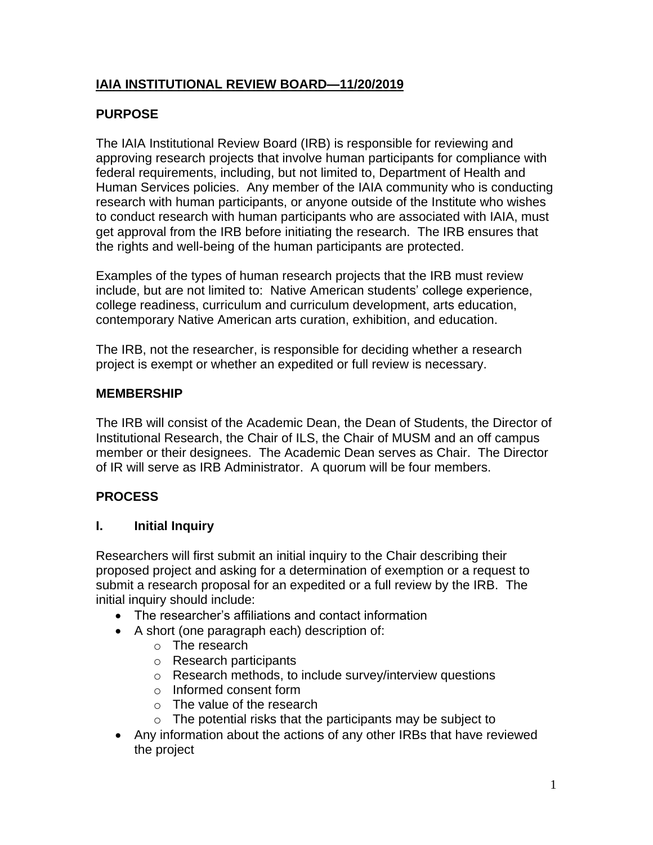# **IAIA INSTITUTIONAL REVIEW BOARD—11/20/2019**

# **PURPOSE**

The IAIA Institutional Review Board (IRB) is responsible for reviewing and approving research projects that involve human participants for compliance with federal requirements, including, but not limited to, Department of Health and Human Services policies. Any member of the IAIA community who is conducting research with human participants, or anyone outside of the Institute who wishes to conduct research with human participants who are associated with IAIA, must get approval from the IRB before initiating the research. The IRB ensures that the rights and well-being of the human participants are protected.

Examples of the types of human research projects that the IRB must review include, but are not limited to: Native American students' college experience, college readiness, curriculum and curriculum development, arts education, contemporary Native American arts curation, exhibition, and education.

The IRB, not the researcher, is responsible for deciding whether a research project is exempt or whether an expedited or full review is necessary.

#### **MEMBERSHIP**

The IRB will consist of the Academic Dean, the Dean of Students, the Director of Institutional Research, the Chair of ILS, the Chair of MUSM and an off campus member or their designees. The Academic Dean serves as Chair. The Director of IR will serve as IRB Administrator. A quorum will be four members.

## **PROCESS**

#### **I. Initial Inquiry**

Researchers will first submit an initial inquiry to the Chair describing their proposed project and asking for a determination of exemption or a request to submit a research proposal for an expedited or a full review by the IRB. The initial inquiry should include:

- The researcher's affiliations and contact information
- A short (one paragraph each) description of:
	- o The research
	- o Research participants
	- o Research methods, to include survey/interview questions
	- o Informed consent form
	- o The value of the research
	- $\circ$  The potential risks that the participants may be subject to
- Any information about the actions of any other IRBs that have reviewed the project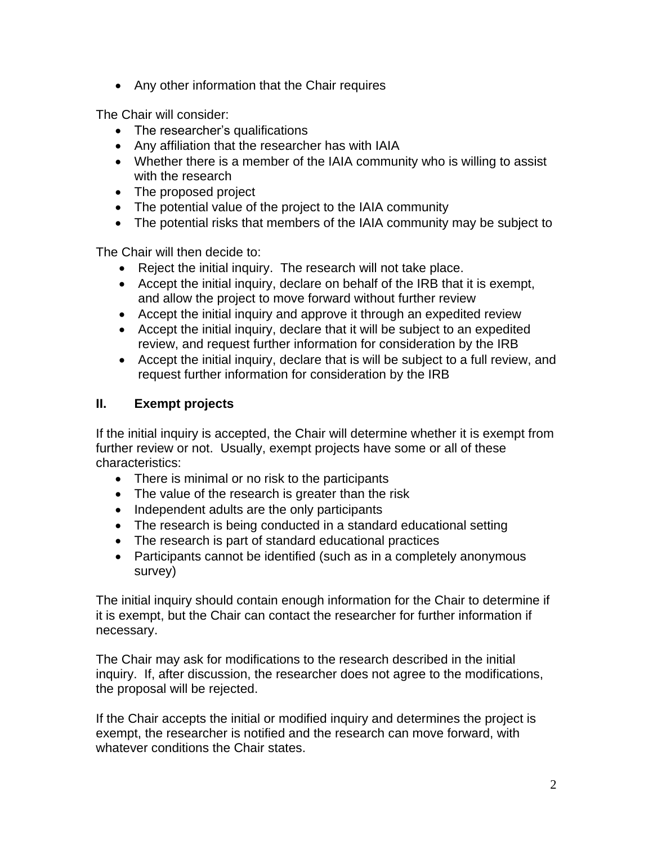• Any other information that the Chair requires

The Chair will consider:

- The researcher's qualifications
- Any affiliation that the researcher has with IAIA
- Whether there is a member of the IAIA community who is willing to assist with the research
- The proposed project
- The potential value of the project to the IAIA community
- The potential risks that members of the IAIA community may be subject to

The Chair will then decide to:

- Reject the initial inquiry. The research will not take place.
- Accept the initial inquiry, declare on behalf of the IRB that it is exempt, and allow the project to move forward without further review
- Accept the initial inquiry and approve it through an expedited review
- Accept the initial inquiry, declare that it will be subject to an expedited review, and request further information for consideration by the IRB
- Accept the initial inquiry, declare that is will be subject to a full review, and request further information for consideration by the IRB

## **II. Exempt projects**

If the initial inquiry is accepted, the Chair will determine whether it is exempt from further review or not. Usually, exempt projects have some or all of these characteristics:

- There is minimal or no risk to the participants
- The value of the research is greater than the risk
- Independent adults are the only participants
- The research is being conducted in a standard educational setting
- The research is part of standard educational practices
- Participants cannot be identified (such as in a completely anonymous survey)

The initial inquiry should contain enough information for the Chair to determine if it is exempt, but the Chair can contact the researcher for further information if necessary.

The Chair may ask for modifications to the research described in the initial inquiry. If, after discussion, the researcher does not agree to the modifications, the proposal will be rejected.

If the Chair accepts the initial or modified inquiry and determines the project is exempt, the researcher is notified and the research can move forward, with whatever conditions the Chair states.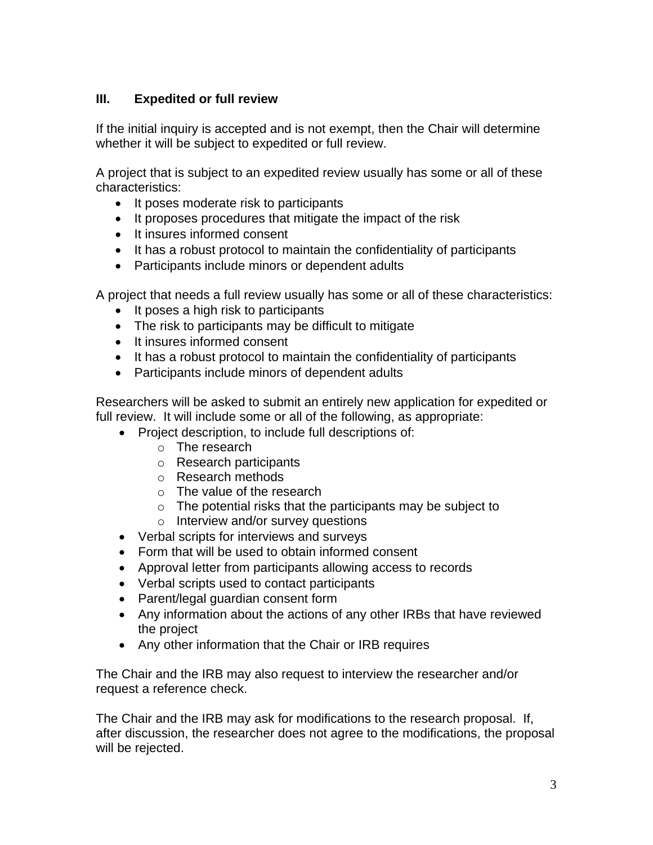#### **III. Expedited or full review**

If the initial inquiry is accepted and is not exempt, then the Chair will determine whether it will be subject to expedited or full review.

A project that is subject to an expedited review usually has some or all of these characteristics:

- It poses moderate risk to participants
- It proposes procedures that mitigate the impact of the risk
- It insures informed consent
- It has a robust protocol to maintain the confidentiality of participants
- Participants include minors or dependent adults

A project that needs a full review usually has some or all of these characteristics:

- It poses a high risk to participants
- The risk to participants may be difficult to mitigate
- It insures informed consent
- It has a robust protocol to maintain the confidentiality of participants
- Participants include minors of dependent adults

Researchers will be asked to submit an entirely new application for expedited or full review. It will include some or all of the following, as appropriate:

- Project description, to include full descriptions of:
	- o The research
	- o Research participants
	- o Research methods
	- o The value of the research
	- $\circ$  The potential risks that the participants may be subject to
	- o Interview and/or survey questions
- Verbal scripts for interviews and surveys
- Form that will be used to obtain informed consent
- Approval letter from participants allowing access to records
- Verbal scripts used to contact participants
- Parent/legal guardian consent form
- Any information about the actions of any other IRBs that have reviewed the project
- Any other information that the Chair or IRB requires

The Chair and the IRB may also request to interview the researcher and/or request a reference check.

The Chair and the IRB may ask for modifications to the research proposal. If, after discussion, the researcher does not agree to the modifications, the proposal will be rejected.